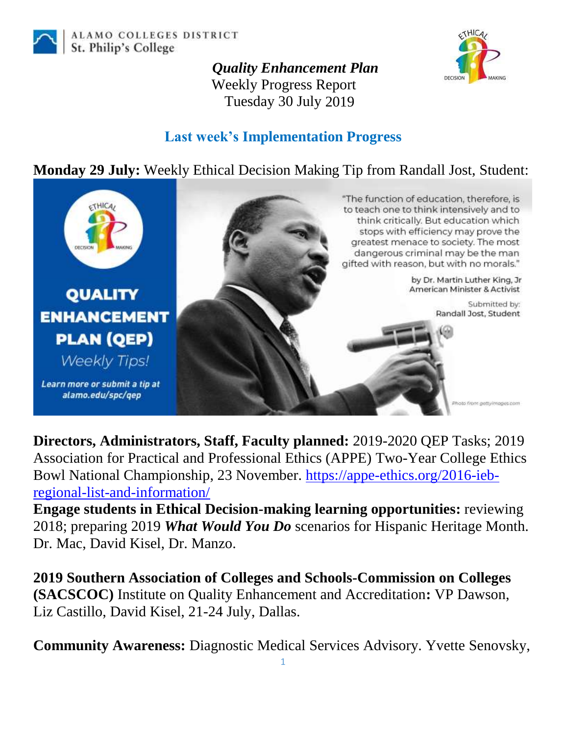

ALAMO COLLEGES DISTRICT St. Philip's College

## *Quality Enhancement Plan* Weekly Progress Report



Tuesday 30 July 2019

#### **Last week's Implementation Progress**

**Monday 29 July:** Weekly Ethical Decision Making Tip from Randall Jost, Student:



**Directors, Administrators, Staff, Faculty planned:** 2019-2020 QEP Tasks; 2019 Association for Practical and Professional Ethics (APPE) Two-Year College Ethics Bowl National Championship, 23 November. [https://appe-ethics.org/2016-ieb](https://appe-ethics.org/2016-ieb-regional-list-and-information/)[regional-list-and-information/](https://appe-ethics.org/2016-ieb-regional-list-and-information/)

**Engage students in Ethical Decision-making learning opportunities:** reviewing 2018; preparing 2019 *What Would You Do* scenarios for Hispanic Heritage Month. Dr. Mac, David Kisel, Dr. Manzo.

**2019 Southern Association of Colleges and Schools-Commission on Colleges (SACSCOC)** Institute on Quality Enhancement and Accreditation**:** VP Dawson, Liz Castillo, David Kisel, 21-24 July, Dallas.

**Community Awareness:** Diagnostic Medical Services Advisory. Yvette Senovsky,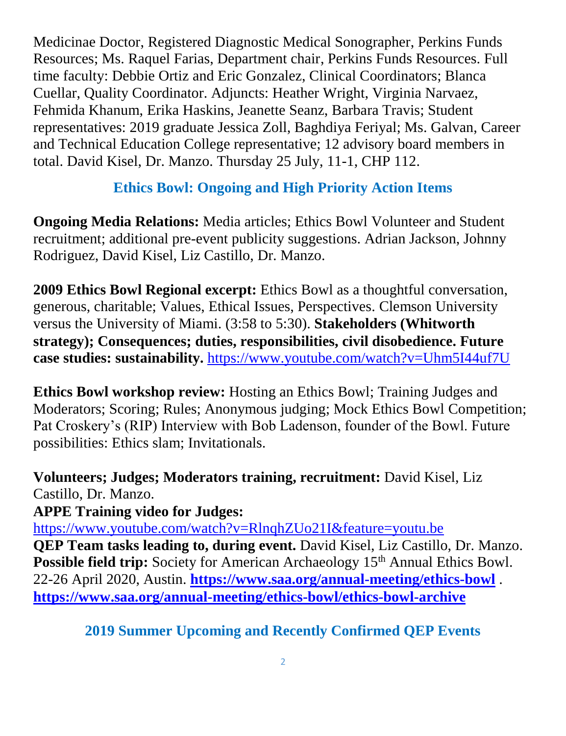Medicinae Doctor, Registered Diagnostic Medical Sonographer, Perkins Funds Resources; Ms. Raquel Farias, Department chair, Perkins Funds Resources. Full time faculty: Debbie Ortiz and Eric Gonzalez, Clinical Coordinators; Blanca Cuellar, Quality Coordinator. Adjuncts: Heather Wright, Virginia Narvaez, Fehmida Khanum, Erika Haskins, Jeanette Seanz, Barbara Travis; Student representatives: 2019 graduate Jessica Zoll, Baghdiya Feriyal; Ms. Galvan, Career and Technical Education College representative; 12 advisory board members in total. David Kisel, Dr. Manzo. Thursday 25 July, 11-1, CHP 112.

### **Ethics Bowl: Ongoing and High Priority Action Items**

**Ongoing Media Relations:** Media articles; Ethics Bowl Volunteer and Student recruitment; additional pre-event publicity suggestions. Adrian Jackson, Johnny Rodriguez, David Kisel, Liz Castillo, Dr. Manzo.

**2009 Ethics Bowl Regional excerpt:** Ethics Bowl as a thoughtful conversation, generous, charitable; Values, Ethical Issues, Perspectives. Clemson University versus the University of Miami. (3:58 to 5:30). **Stakeholders (Whitworth strategy); Consequences; duties, responsibilities, civil disobedience. Future case studies: sustainability.** [https://www.youtube.com/watch?v=Uhm5I44uf7U](https://mail.alamo.edu/owa/redir.aspx?C=bdWcuBl2orsA37TtqZ1cDKp4sZHtMgFf-hoOQJwO8YjzdOxwXRDXCA..&URL=https%3a%2f%2fwww.youtube.com%2fwatch%3fv%3dUhm5I44uf7U)

**Ethics Bowl workshop review:** Hosting an Ethics Bowl; Training Judges and Moderators; Scoring; Rules; Anonymous judging; Mock Ethics Bowl Competition; Pat Croskery's (RIP) Interview with Bob Ladenson, founder of the Bowl. Future possibilities: Ethics slam; Invitationals.

**Volunteers; Judges; Moderators training, recruitment:** David Kisel, Liz Castillo, Dr. Manzo.

**APPE Training video for Judges:**

<https://www.youtube.com/watch?v=RlnqhZUo21I&feature=youtu.be> **QEP Team tasks leading to, during event.** David Kisel, Liz Castillo, Dr. Manzo. **Possible field trip:** Society for American Archaeology 15<sup>th</sup> Annual Ethics Bowl. 22-26 April 2020, Austin. **<https://www.saa.org/annual-meeting/ethics-bowl>** . **<https://www.saa.org/annual-meeting/ethics-bowl/ethics-bowl-archive>**

**2019 Summer Upcoming and Recently Confirmed QEP Events**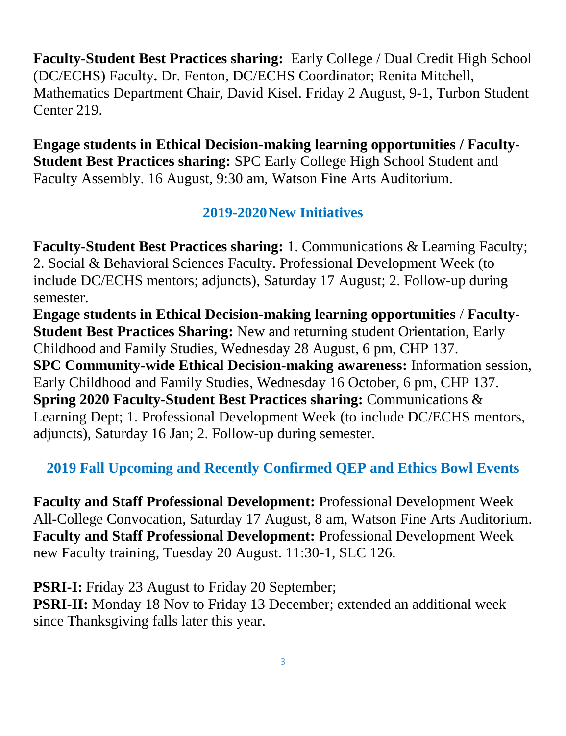**Faculty-Student Best Practices sharing:** Early College / Dual Credit High School (DC/ECHS) Faculty**.** Dr. Fenton, DC/ECHS Coordinator; Renita Mitchell, Mathematics Department Chair, David Kisel. Friday 2 August, 9-1, Turbon Student Center 219.

**Engage students in Ethical Decision-making learning opportunities / Faculty-Student Best Practices sharing:** SPC Early College High School Student and Faculty Assembly. 16 August, 9:30 am, Watson Fine Arts Auditorium.

# **2019-2020New Initiatives**

**Faculty-Student Best Practices sharing:** 1. Communications & Learning Faculty; 2. Social & Behavioral Sciences Faculty. Professional Development Week (to include DC/ECHS mentors; adjuncts), Saturday 17 August; 2. Follow-up during semester.

**Engage students in Ethical Decision-making learning opportunities** / **Faculty-Student Best Practices Sharing:** New and returning student Orientation, Early Childhood and Family Studies, Wednesday 28 August, 6 pm, CHP 137. **SPC Community-wide Ethical Decision-making awareness:** Information session, Early Childhood and Family Studies, Wednesday 16 October, 6 pm, CHP 137. **Spring 2020 Faculty-Student Best Practices sharing:** Communications & Learning Dept; 1. Professional Development Week (to include DC/ECHS mentors, adjuncts), Saturday 16 Jan; 2. Follow-up during semester.

# **2019 Fall Upcoming and Recently Confirmed QEP and Ethics Bowl Events**

**Faculty and Staff Professional Development:** Professional Development Week All-College Convocation, Saturday 17 August, 8 am, Watson Fine Arts Auditorium. **Faculty and Staff Professional Development:** Professional Development Week new Faculty training, Tuesday 20 August. 11:30-1, SLC 126.

**PSRI-I:** Friday 23 August to Friday 20 September;

**PSRI-II:** Monday 18 Nov to Friday 13 December; extended an additional week since Thanksgiving falls later this year.